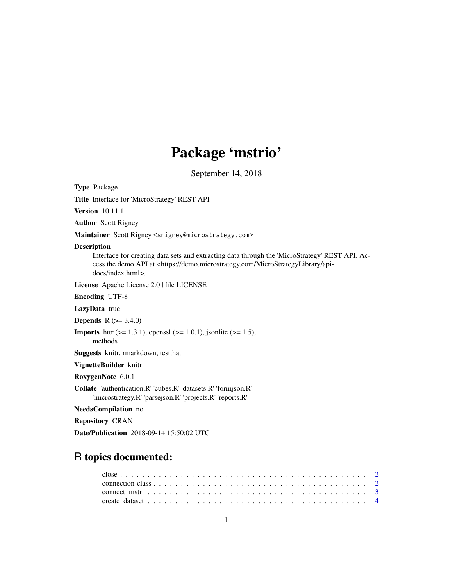## Package 'mstrio'

September 14, 2018

Type Package

Title Interface for 'MicroStrategy' REST API

Version 10.11.1

Author Scott Rigney

Maintainer Scott Rigney <srigney@microstrategy.com>

#### Description

Interface for creating data sets and extracting data through the 'MicroStrategy' REST API. Access the demo API at <https://demo.microstrategy.com/MicroStrategyLibrary/apidocs/index.html>.

License Apache License 2.0 | file LICENSE

Encoding UTF-8

LazyData true

**Depends** R  $(>= 3.4.0)$ 

**Imports** httr ( $> = 1.3.1$ ), openssl ( $> = 1.0.1$ ), jsonlite ( $> = 1.5$ ),

methods

Suggests knitr, rmarkdown, testthat

VignetteBuilder knitr

RoxygenNote 6.0.1

Collate 'authentication.R' 'cubes.R' 'datasets.R' 'formjson.R' 'microstrategy.R' 'parsejson.R' 'projects.R' 'reports.R'

NeedsCompilation no

Repository CRAN

Date/Publication 2018-09-14 15:50:02 UTC

### R topics documented: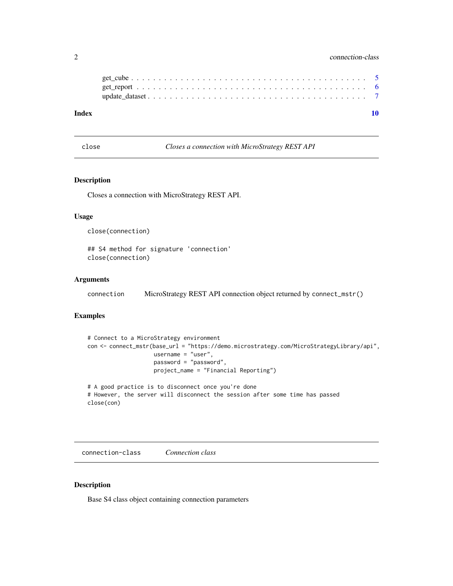#### <span id="page-1-0"></span>2 connection-class

close *Closes a connection with MicroStrategy REST API*

#### Description

Closes a connection with MicroStrategy REST API.

#### Usage

close(connection)

## S4 method for signature 'connection' close(connection)

#### Arguments

connection MicroStrategy REST API connection object returned by connect\_mstr()

#### Examples

```
# Connect to a MicroStrategy environment
con <- connect_mstr(base_url = "https://demo.microstrategy.com/MicroStrategyLibrary/api",
                    username = "user",
                    password = "password",
                    project_name = "Financial Reporting")
# A good practice is to disconnect once you're done
# However, the server will disconnect the session after some time has passed
close(con)
```
connection-class *Connection class*

#### Description

Base S4 class object containing connection parameters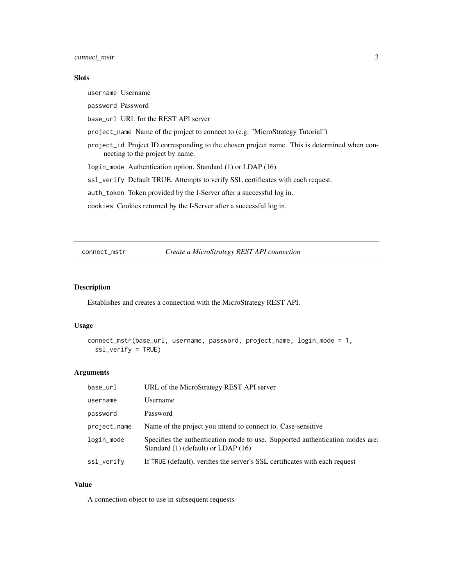<span id="page-2-0"></span>connect\_mstr 3

#### Slots

username Username

password Password

base\_url URL for the REST API server

project\_name Name of the project to connect to (e.g. "MicroStrategy Tutorial")

project\_id Project ID corresponding to the chosen project name. This is determined when connecting to the project by name.

login\_mode Authentication option. Standard (1) or LDAP (16).

ssl\_verify Default TRUE. Attempts to verify SSL certificates with each request.

auth\_token Token provided by the I-Server after a successful log in.

cookies Cookies returned by the I-Server after a successful log in.

connect\_mstr *Create a MicroStrategy REST API connection*

#### Description

Establishes and creates a connection with the MicroStrategy REST API.

#### Usage

```
connect_mstr(base_url, username, password, project_name, login_mode = 1,
  ssl_verify = TRUE)
```
#### Arguments

| base_url     | URL of the MicroStrategy REST API server                                                                                 |
|--------------|--------------------------------------------------------------------------------------------------------------------------|
| username     | Username                                                                                                                 |
| password     | Password                                                                                                                 |
| project_name | Name of the project you intend to connect to. Case-sensitive                                                             |
| login_mode   | Specifies the authentication mode to use. Supported authentication modes are:<br>Standard $(1)$ (default) or LDAP $(16)$ |
| ssl_verify   | If TRUE (default), verifies the server's SSL certificates with each request                                              |

#### Value

A connection object to use in subsequent requests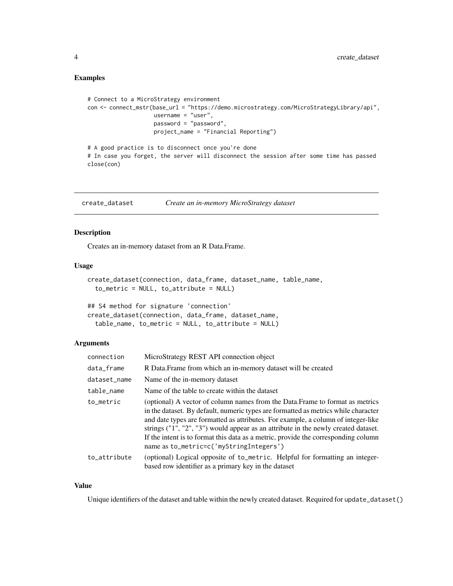#### <span id="page-3-0"></span>Examples

```
# Connect to a MicroStrategy environment
con <- connect_mstr(base_url = "https://demo.microstrategy.com/MicroStrategyLibrary/api",
                   username = "user",
                   password = "password",
                   project_name = "Financial Reporting")
# A good practice is to disconnect once you're done
```
# In case you forget, the server will disconnect the session after some time has passed close(con)

create\_dataset *Create an in-memory MicroStrategy dataset*

#### Description

Creates an in-memory dataset from an R Data.Frame.

#### Usage

```
create_dataset(connection, data_frame, dataset_name, table_name,
  to_metric = NULL, to_attribute = NULL)
```

|  |  | ## S4 method for signature 'connection'              |  |  |
|--|--|------------------------------------------------------|--|--|
|  |  | create_dataset(connection, data_frame, dataset_name, |  |  |
|  |  | $table_name, to_metric = NULL, to_attribute = NULL$  |  |  |

#### Arguments

| connection   | MicroStrategy REST API connection object                                                                                                                                                                                                                                                                                                                                                                                                                                          |
|--------------|-----------------------------------------------------------------------------------------------------------------------------------------------------------------------------------------------------------------------------------------------------------------------------------------------------------------------------------------------------------------------------------------------------------------------------------------------------------------------------------|
| data_frame   | R Data. Frame from which an in-memory dataset will be created                                                                                                                                                                                                                                                                                                                                                                                                                     |
| dataset_name | Name of the in-memory dataset                                                                                                                                                                                                                                                                                                                                                                                                                                                     |
| table_name   | Name of the table to create within the dataset                                                                                                                                                                                                                                                                                                                                                                                                                                    |
| to_metric    | (optional) A vector of column names from the Data. Frame to format as metrics<br>in the dataset. By default, numeric types are formatted as metrics while character<br>and date types are formatted as attributes. For example, a column of integer-like<br>strings $("1", "2", "3")$ would appear as an attribute in the newly created dataset.<br>If the intent is to format this data as a metric, provide the corresponding column<br>name as to_metric=c('myStringIntegers') |
| to_attribute | (optional) Logical opposite of to_metric. Helpful for formatting an integer-<br>based row identifier as a primary key in the dataset                                                                                                                                                                                                                                                                                                                                              |

#### Value

Unique identifiers of the dataset and table within the newly created dataset. Required for update\_dataset()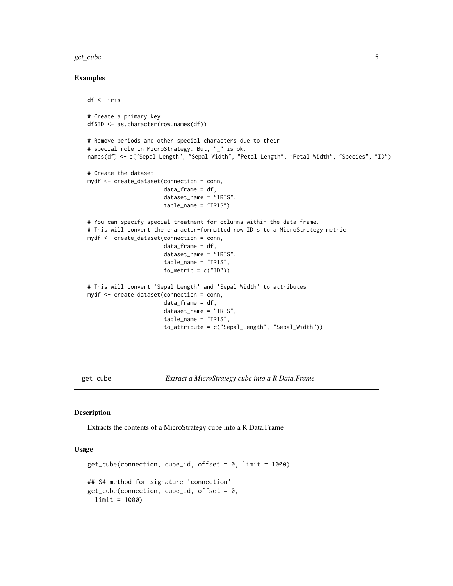#### <span id="page-4-0"></span>get\_cube 5

#### Examples

```
df <- iris
# Create a primary key
df$ID <- as.character(row.names(df))
# Remove periods and other special characters due to their
# special role in MicroStrategy. But, "_" is ok.
names(df) <- c("Sepal_Length", "Sepal_Width", "Petal_Length", "Petal_Width", "Species", "ID")
# Create the dataset
mydf <- create_dataset(connection = conn,
                       data_frame = df,
                       dataset_name = "IRIS",
                       table_name = "IRIS")
# You can specify special treatment for columns within the data frame.
# This will convert the character-formatted row ID's to a MicroStrategy metric
mydf <- create_dataset(connection = conn,
                       data_frame = df,
                       dataset_name = "IRIS",
                       table_name = "IRIS",
                       to_metric = c("ID")# This will convert 'Sepal_Length' and 'Sepal_Width' to attributes
mydf <- create_dataset(connection = conn,
                       data_frame = df,
                       dataset_name = "IRIS",
                       table_name = "IRIS",
                       to_attribute = c("Sepal_Length", "Sepal_Width"))
```
get\_cube *Extract a MicroStrategy cube into a R Data.Frame*

#### Description

Extracts the contents of a MicroStrategy cube into a R Data.Frame

#### Usage

```
get\_cube(connection, cube_id, offset = 0, limit = 1000)
## S4 method for signature 'connection'
get\_cube(connection, cube_id, offset = 0,
  limit = 1000)
```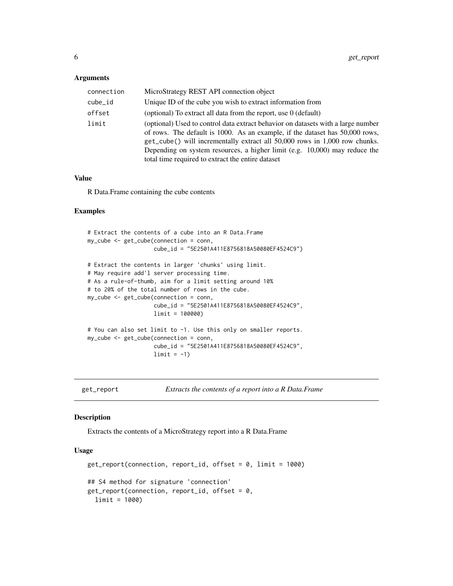#### <span id="page-5-0"></span>Arguments

| connection | MicroStrategy REST API connection object                                                                                                                                                                                                                                                                                                                                             |
|------------|--------------------------------------------------------------------------------------------------------------------------------------------------------------------------------------------------------------------------------------------------------------------------------------------------------------------------------------------------------------------------------------|
| cube_id    | Unique ID of the cube you wish to extract information from                                                                                                                                                                                                                                                                                                                           |
| offset     | (optional) To extract all data from the report, use $0$ (default)                                                                                                                                                                                                                                                                                                                    |
| limit      | (optional) Used to control data extract behavior on datasets with a large number<br>of rows. The default is 1000. As an example, if the dataset has 50,000 rows,<br>get_cube() will incrementally extract all 50,000 rows in 1,000 row chunks.<br>Depending on system resources, a higher limit (e.g. $10,000$ ) may reduce the<br>total time required to extract the entire dataset |

#### Value

R Data.Frame containing the cube contents

#### Examples

```
# Extract the contents of a cube into an R Data.Frame
my_cube <- get_cube(connection = conn,
                    cube_id = "5E2501A411E8756818A50080EF4524C9")
# Extract the contents in larger 'chunks' using limit.
# May require add'l server processing time.
# As a rule-of-thumb, aim for a limit setting around 10%
# to 20% of the total number of rows in the cube.
my_cube <- get_cube(connection = conn,
                    cube_id = "5E2501A411E8756818A50080EF4524C9",
                    limit = 100000)
# You can also set limit to -1. Use this only on smaller reports.
my_cube <- get_cube(connection = conn,
                    cube_id = "5E2501A411E8756818A50080EF4524C9",
                    limit = -1)
```
get\_report *Extracts the contents of a report into a R Data.Frame*

#### Description

Extracts the contents of a MicroStrategy report into a R Data.Frame

#### Usage

```
get_report(connection, report_id, offset = 0, limit = 1000)
## S4 method for signature 'connection'
get\_report(connection, report_id, offset = 0,limit = 1000)
```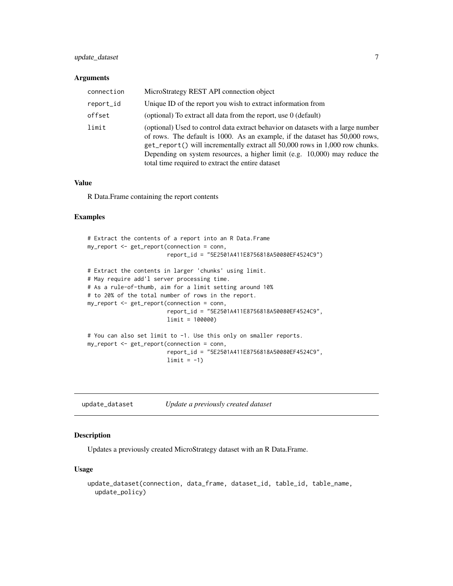#### <span id="page-6-0"></span>update\_dataset 7

#### Arguments

| connection | MicroStrategy REST API connection object                                                                                                                                                                                                                                                                                                                                               |
|------------|----------------------------------------------------------------------------------------------------------------------------------------------------------------------------------------------------------------------------------------------------------------------------------------------------------------------------------------------------------------------------------------|
| report_id  | Unique ID of the report you wish to extract information from                                                                                                                                                                                                                                                                                                                           |
| offset     | (optional) To extract all data from the report, use 0 (default)                                                                                                                                                                                                                                                                                                                        |
| limit      | (optional) Used to control data extract behavior on datasets with a large number<br>of rows. The default is 1000. As an example, if the dataset has 50,000 rows,<br>get_report() will incrementally extract all 50,000 rows in 1,000 row chunks.<br>Depending on system resources, a higher limit (e.g. $10,000$ ) may reduce the<br>total time required to extract the entire dataset |

#### Value

R Data.Frame containing the report contents

#### Examples

```
# Extract the contents of a report into an R Data.Frame
my_report <- get_report(connection = conn,
                       report_id = "5E2501A411E8756818A50080EF4524C9")
# Extract the contents in larger 'chunks' using limit.
# May require add'l server processing time.
# As a rule-of-thumb, aim for a limit setting around 10%
# to 20% of the total number of rows in the report.
my_report <- get_report(connection = conn,
                        report_id = "5E2501A411E8756818A50080EF4524C9",
                        limit = 100000)
# You can also set limit to -1. Use this only on smaller reports.
my_report <- get_report(connection = conn,
                       report_id = "5E2501A411E8756818A50080EF4524C9",
                        limit = -1)
```

| update_dataset |  | Update a previously created dataset |  |  |
|----------------|--|-------------------------------------|--|--|
|----------------|--|-------------------------------------|--|--|

#### Description

Updates a previously created MicroStrategy dataset with an R Data.Frame.

#### Usage

```
update_dataset(connection, data_frame, dataset_id, table_id, table_name,
 update_policy)
```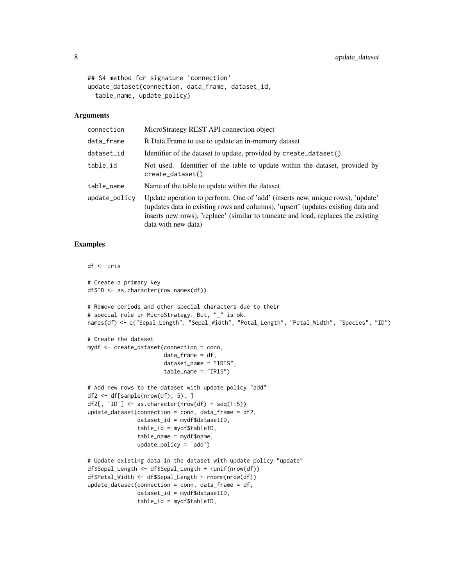```
## S4 method for signature 'connection'
update_dataset(connection, data_frame, dataset_id,
  table_name, update_policy)
```
#### **Arguments**

| connection    | MicroStrategy REST API connection object                                                                                                                                                                                                                                       |
|---------------|--------------------------------------------------------------------------------------------------------------------------------------------------------------------------------------------------------------------------------------------------------------------------------|
| data_frame    | R Data. Frame to use to update an in-memory dataset                                                                                                                                                                                                                            |
| dataset_id    | Identifier of the dataset to update, provided by create_dataset()                                                                                                                                                                                                              |
| table_id      | Not used. Identifier of the table to update within the dataset, provided by<br>create_dataset()                                                                                                                                                                                |
| table_name    | Name of the table to update within the dataset                                                                                                                                                                                                                                 |
| update_policy | Update operation to perform. One of 'add' (inserts new, unique rows), 'update'<br>(updates data in existing rows and columns), 'upsert' (updates existing data and<br>inserts new rows), 'replace' (similar to truncate and load, replaces the existing<br>data with new data) |

#### Examples

```
df <- iris
# Create a primary key
df$ID <- as.character(row.names(df))
# Remove periods and other special characters due to their
# special role in MicroStrategy. But, "_" is ok.
names(df) <- c("Sepal_Length", "Sepal_Width", "Petal_Length", "Petal_Width", "Species", "ID")
# Create the dataset
mydf <- create_dataset(connection = conn,
                       data_frame = df,
                       dataset_name = "IRIS",
                       table_name = "IRIS")
# Add new rows to the dataset with update policy "add"
df2 <- df[sample(nrow(df), 5), ]
df2[, 'ID'] <- as.character(nrow(df) + seq(1:5))
update_dataset(connection = conn, data_frame = df2,
               dataset_id = mydf$datasetID,
               table_id = mydf$tableID,
               table_name = mydf$name,
               update_policy = 'add')
# Update existing data in the dataset with update policy "update"
df$Sepal_Length <- df$Sepal_Length + runif(nrow(df))
df$Petal_Width <- df$Sepal_Length + rnorm(nrow(df))
update_dataset(connection = conn, data_frame = df,
               dataset_id = mydf$datasetID,
               table_id = mydf$tableID,
```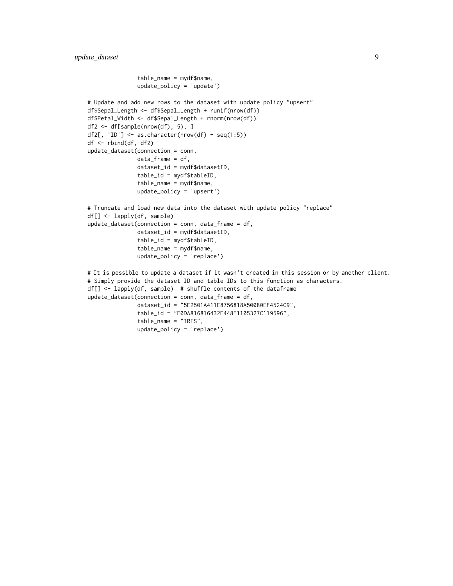#### update\_dataset 9

```
table_name = mydf$name,
               update_policy = 'update')
# Update and add new rows to the dataset with update policy "upsert"
df$Sepal_Length <- df$Sepal_Length + runif(nrow(df))
df$Petal_Width <- df$Sepal_Length + rnorm(nrow(df))
df2 <- df[sample(nrow(df), 5), ]
df2[, 'ID'] <- as.character(nrow(df) + seq(1:5))
df <- rbind(df, df2)
update_dataset(connection = conn,
               data_frame = df,
               dataset_id = mydf$datasetID,
               table_id = mydf$tableID,
               table_name = mydf$name,
               update_policy = 'upsert')
# Truncate and load new data into the dataset with update policy "replace"
df[] <- lapply(df, sample)
update_dataset(connection = conn, data_frame = df,
               dataset_id = mydf$datasetID,
               table_id = mydf$tableID,
               table_name = mydf$name,
               update_policy = 'replace')
# It is possible to update a dataset if it wasn't created in this session or by another client.
# Simply provide the dataset ID and table IDs to this function as characters.
df[] <- lapply(df, sample) # shuffle contents of the dataframe
update_dataset(connection = conn, data_frame = df,
               dataset_id = "5E2501A411E8756818A50080EF4524C9",
               table_id = "F0DA816816432E448F1105327C119596",
               table_name = "IRIS",
               update_policy = 'replace')
```